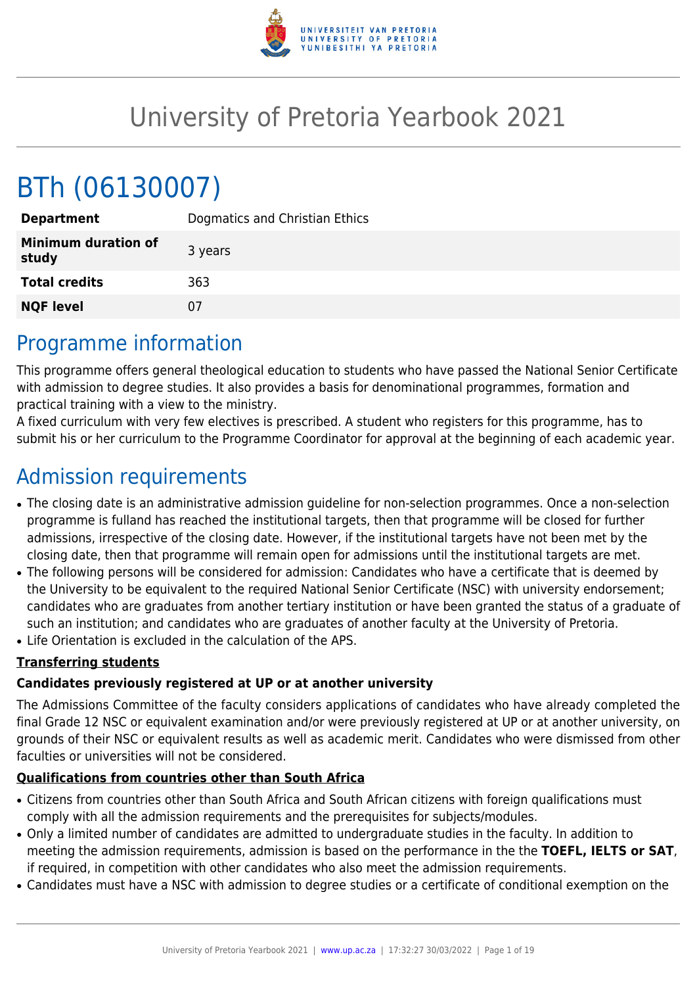

# University of Pretoria Yearbook 2021

# BTh (06130007)

| <b>Department</b>                   | Dogmatics and Christian Ethics |
|-------------------------------------|--------------------------------|
| <b>Minimum duration of</b><br>study | 3 years                        |
| <b>Total credits</b>                | 363                            |
| <b>NQF level</b>                    | 07                             |

# Programme information

This programme offers general theological education to students who have passed the National Senior Certificate with admission to degree studies. It also provides a basis for denominational programmes, formation and practical training with a view to the ministry.

A fixed curriculum with very few electives is prescribed. A student who registers for this programme, has to submit his or her curriculum to the Programme Coordinator for approval at the beginning of each academic year.

# Admission requirements

- The closing date is an administrative admission guideline for non-selection programmes. Once a non-selection programme is fulland has reached the institutional targets, then that programme will be closed for further admissions, irrespective of the closing date. However, if the institutional targets have not been met by the closing date, then that programme will remain open for admissions until the institutional targets are met.
- The following persons will be considered for admission: Candidates who have a certificate that is deemed by the University to be equivalent to the required National Senior Certificate (NSC) with university endorsement; candidates who are graduates from another tertiary institution or have been granted the status of a graduate of such an institution; and candidates who are graduates of another faculty at the University of Pretoria.
- Life Orientation is excluded in the calculation of the APS.

# **Transferring students**

### **Candidates previously registered at UP or at another university**

The Admissions Committee of the faculty considers applications of candidates who have already completed the final Grade 12 NSC or equivalent examination and/or were previously registered at UP or at another university, on grounds of their NSC or equivalent results as well as academic merit. Candidates who were dismissed from other faculties or universities will not be considered.

### **Qualifications from countries other than South Africa**

- Citizens from countries other than South Africa and South African citizens with foreign qualifications must comply with all the admission requirements and the prerequisites for subjects/modules.
- Only a limited number of candidates are admitted to undergraduate studies in the faculty. In addition to meeting the admission requirements, admission is based on the performance in the the **TOEFL, IELTS or SAT**, if required, in competition with other candidates who also meet the admission requirements.
- Candidates must have a NSC with admission to degree studies or a certificate of conditional exemption on the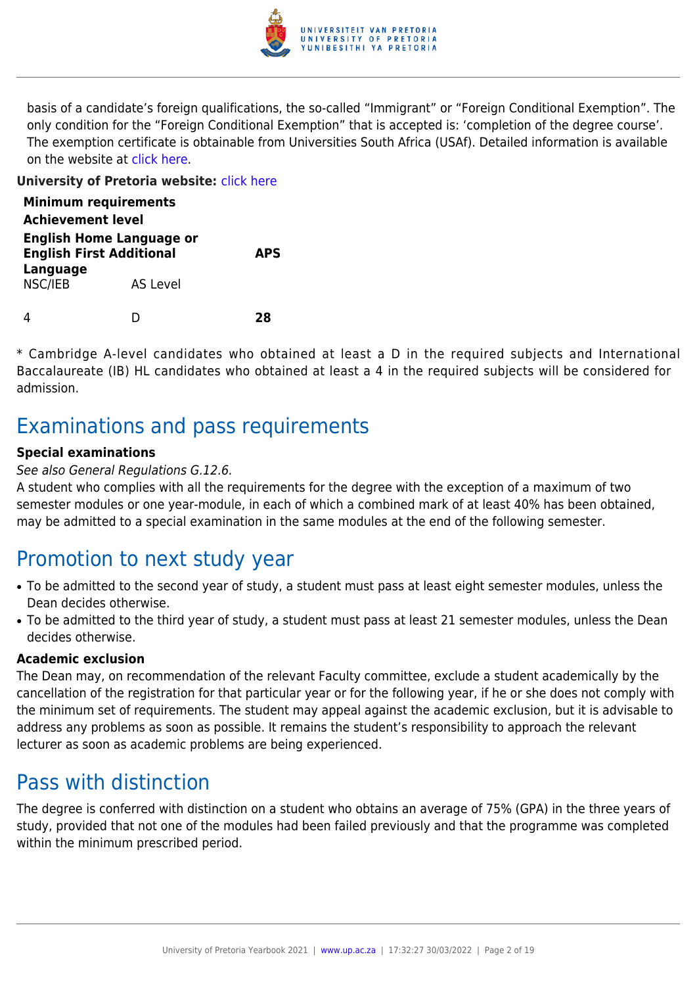

basis of a candidate's foreign qualifications, the so-called "Immigrant" or "Foreign Conditional Exemption". The only condition for the "Foreign Conditional Exemption" that is accepted is: 'completion of the degree course'. The exemption certificate is obtainable from Universities South Africa (USAf). Detailed information is available on the website at [click here](http://mb.usaf.ac.za).

#### **University of Pretoria website:** [click here](http://www.up.ac.za/theology)

| <b>Minimum requirements</b><br><b>Achievement level</b>            |          |            |
|--------------------------------------------------------------------|----------|------------|
| <b>English Home Language or</b><br><b>English First Additional</b> |          | <b>APS</b> |
| <b>Language</b><br>NSC/IEB                                         | AS Level |            |
|                                                                    |          | 78         |

\* Cambridge A-level candidates who obtained at least a D in the required subjects and International Baccalaureate (IB) HL candidates who obtained at least a 4 in the required subjects will be considered for admission.

# Examinations and pass requirements

#### **Special examinations**

#### See also General Regulations G.12.6.

A student who complies with all the requirements for the degree with the exception of a maximum of two semester modules or one year-module, in each of which a combined mark of at least 40% has been obtained, may be admitted to a special examination in the same modules at the end of the following semester.

# Promotion to next study year

- To be admitted to the second year of study, a student must pass at least eight semester modules, unless the Dean decides otherwise.
- To be admitted to the third year of study, a student must pass at least 21 semester modules, unless the Dean decides otherwise.

#### **Academic exclusion**

The Dean may, on recommendation of the relevant Faculty committee, exclude a student academically by the cancellation of the registration for that particular year or for the following year, if he or she does not comply with the minimum set of requirements. The student may appeal against the academic exclusion, but it is advisable to address any problems as soon as possible. It remains the student's responsibility to approach the relevant lecturer as soon as academic problems are being experienced.

# Pass with distinction

The degree is conferred with distinction on a student who obtains an average of 75% (GPA) in the three years of study, provided that not one of the modules had been failed previously and that the programme was completed within the minimum prescribed period.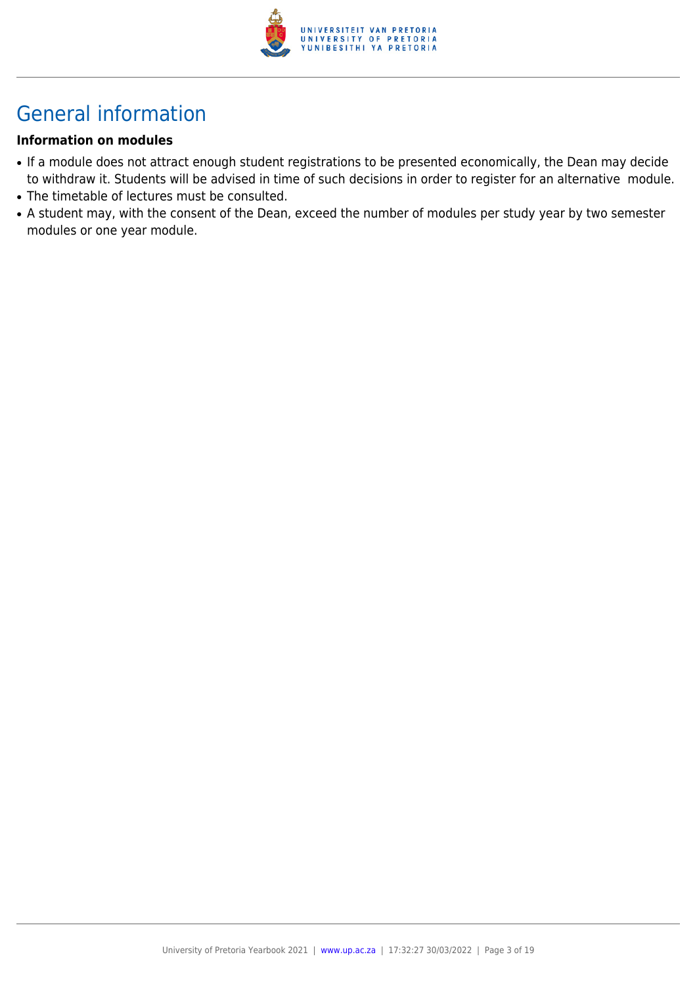

# General information

#### **Information on modules**

- If a module does not attract enough student registrations to be presented economically, the Dean may decide to withdraw it. Students will be advised in time of such decisions in order to register for an alternative module.
- The timetable of lectures must be consulted.
- A student may, with the consent of the Dean, exceed the number of modules per study year by two semester modules or one year module.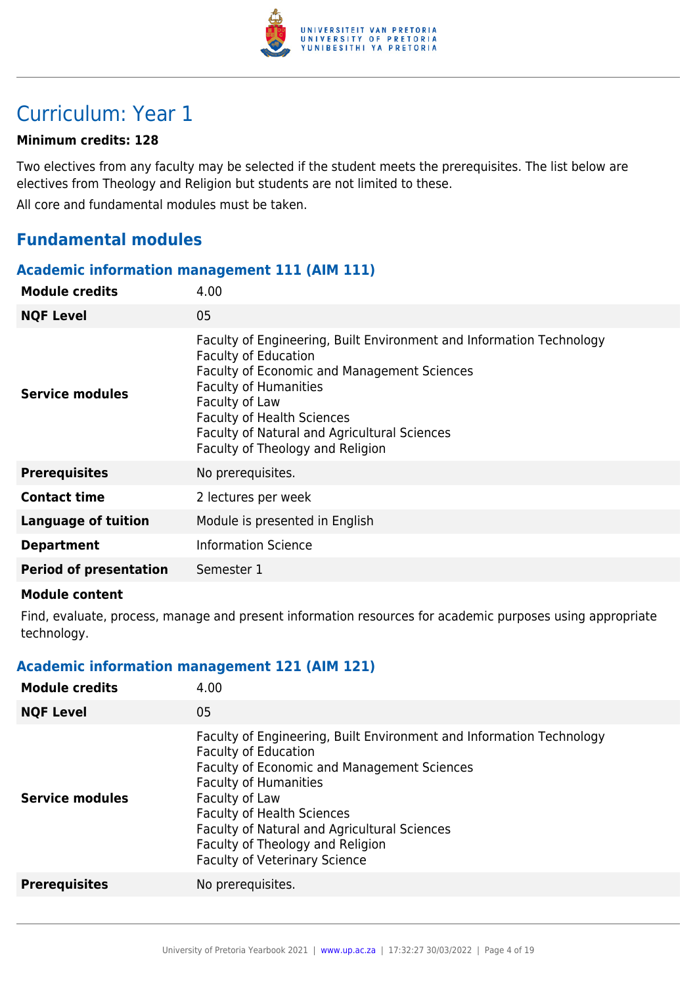

# Curriculum: Year 1

#### **Minimum credits: 128**

Two electives from any faculty may be selected if the student meets the prerequisites. The list below are electives from Theology and Religion but students are not limited to these.

All core and fundamental modules must be taken.

# **Fundamental modules**

#### **Academic information management 111 (AIM 111)**

| <b>Module credits</b>         | 4.00                                                                                                                                                                                                                                                                                                                          |
|-------------------------------|-------------------------------------------------------------------------------------------------------------------------------------------------------------------------------------------------------------------------------------------------------------------------------------------------------------------------------|
| <b>NQF Level</b>              | 05                                                                                                                                                                                                                                                                                                                            |
| Service modules               | Faculty of Engineering, Built Environment and Information Technology<br><b>Faculty of Education</b><br>Faculty of Economic and Management Sciences<br><b>Faculty of Humanities</b><br>Faculty of Law<br><b>Faculty of Health Sciences</b><br>Faculty of Natural and Agricultural Sciences<br>Faculty of Theology and Religion |
| <b>Prerequisites</b>          | No prerequisites.                                                                                                                                                                                                                                                                                                             |
| <b>Contact time</b>           | 2 lectures per week                                                                                                                                                                                                                                                                                                           |
| <b>Language of tuition</b>    | Module is presented in English                                                                                                                                                                                                                                                                                                |
| <b>Department</b>             | <b>Information Science</b>                                                                                                                                                                                                                                                                                                    |
| <b>Period of presentation</b> | Semester 1                                                                                                                                                                                                                                                                                                                    |
|                               |                                                                                                                                                                                                                                                                                                                               |

#### **Module content**

Find, evaluate, process, manage and present information resources for academic purposes using appropriate technology.

#### **Academic information management 121 (AIM 121)**

| <b>Module credits</b>  | 4.00                                                                                                                                                                                                                                                                                                                                                                         |
|------------------------|------------------------------------------------------------------------------------------------------------------------------------------------------------------------------------------------------------------------------------------------------------------------------------------------------------------------------------------------------------------------------|
| <b>NQF Level</b>       | 05                                                                                                                                                                                                                                                                                                                                                                           |
| <b>Service modules</b> | Faculty of Engineering, Built Environment and Information Technology<br><b>Faculty of Education</b><br><b>Faculty of Economic and Management Sciences</b><br><b>Faculty of Humanities</b><br>Faculty of Law<br><b>Faculty of Health Sciences</b><br>Faculty of Natural and Agricultural Sciences<br>Faculty of Theology and Religion<br><b>Faculty of Veterinary Science</b> |
| <b>Prerequisites</b>   | No prerequisites.                                                                                                                                                                                                                                                                                                                                                            |
|                        |                                                                                                                                                                                                                                                                                                                                                                              |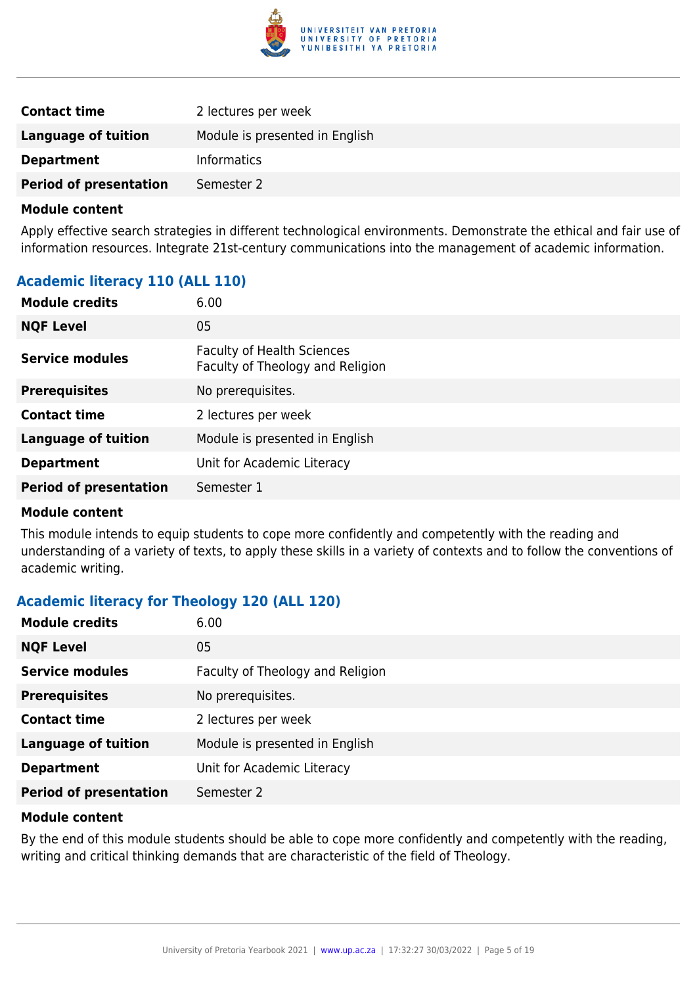

| <b>Contact time</b>           | 2 lectures per week            |
|-------------------------------|--------------------------------|
| Language of tuition           | Module is presented in English |
| <b>Department</b>             | <b>Informatics</b>             |
| <b>Period of presentation</b> | Semester 2                     |

Apply effective search strategies in different technological environments. Demonstrate the ethical and fair use of information resources. Integrate 21st-century communications into the management of academic information.

# **Academic literacy 110 (ALL 110)**

| <b>Module credits</b>         | 6.00                                                                  |
|-------------------------------|-----------------------------------------------------------------------|
| <b>NQF Level</b>              | 05                                                                    |
| Service modules               | <b>Faculty of Health Sciences</b><br>Faculty of Theology and Religion |
| <b>Prerequisites</b>          | No prerequisites.                                                     |
| <b>Contact time</b>           | 2 lectures per week                                                   |
| <b>Language of tuition</b>    | Module is presented in English                                        |
| <b>Department</b>             | Unit for Academic Literacy                                            |
| <b>Period of presentation</b> | Semester 1                                                            |

#### **Module content**

This module intends to equip students to cope more confidently and competently with the reading and understanding of a variety of texts, to apply these skills in a variety of contexts and to follow the conventions of academic writing.

### **Academic literacy for Theology 120 (ALL 120)**

| <b>Module credits</b>         | 6.00                             |
|-------------------------------|----------------------------------|
| <b>NQF Level</b>              | 05                               |
| <b>Service modules</b>        | Faculty of Theology and Religion |
| <b>Prerequisites</b>          | No prerequisites.                |
| <b>Contact time</b>           | 2 lectures per week              |
| <b>Language of tuition</b>    | Module is presented in English   |
| <b>Department</b>             | Unit for Academic Literacy       |
| <b>Period of presentation</b> | Semester 2                       |

#### **Module content**

By the end of this module students should be able to cope more confidently and competently with the reading, writing and critical thinking demands that are characteristic of the field of Theology.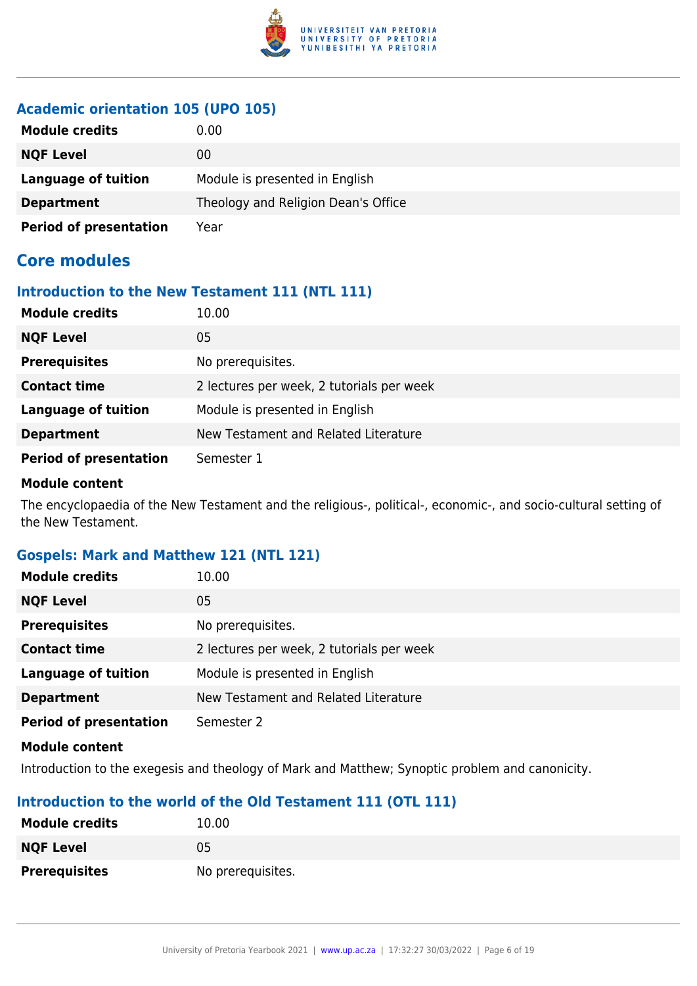

### **Academic orientation 105 (UPO 105)**

| <b>Module credits</b>         | 0.00                                |
|-------------------------------|-------------------------------------|
| <b>NQF Level</b>              | 00                                  |
| Language of tuition           | Module is presented in English      |
| <b>Department</b>             | Theology and Religion Dean's Office |
| <b>Period of presentation</b> | Year                                |

# **Core modules**

#### **Introduction to the New Testament 111 (NTL 111)**

| <b>Module credits</b>         | 10.00                                     |
|-------------------------------|-------------------------------------------|
| <b>NQF Level</b>              | 05                                        |
| <b>Prerequisites</b>          | No prerequisites.                         |
| <b>Contact time</b>           | 2 lectures per week, 2 tutorials per week |
| <b>Language of tuition</b>    | Module is presented in English            |
| <b>Department</b>             | New Testament and Related Literature      |
| <b>Period of presentation</b> | Semester 1                                |

#### **Module content**

The encyclopaedia of the New Testament and the religious-, political-, economic-, and socio-cultural setting of the New Testament.

# **Gospels: Mark and Matthew 121 (NTL 121)**

| <b>Module credits</b>         | 10.00                                     |
|-------------------------------|-------------------------------------------|
| <b>NQF Level</b>              | 05                                        |
| <b>Prerequisites</b>          | No prerequisites.                         |
| <b>Contact time</b>           | 2 lectures per week, 2 tutorials per week |
| <b>Language of tuition</b>    | Module is presented in English            |
| <b>Department</b>             | New Testament and Related Literature      |
| <b>Period of presentation</b> | Semester 2                                |
| Module content                |                                           |

Introduction to the exegesis and theology of Mark and Matthew; Synoptic problem and canonicity.

### **Introduction to the world of the Old Testament 111 (OTL 111)**

| <b>Module credits</b> | 10.00             |
|-----------------------|-------------------|
| <b>NQF Level</b>      | 05                |
| <b>Prerequisites</b>  | No prerequisites. |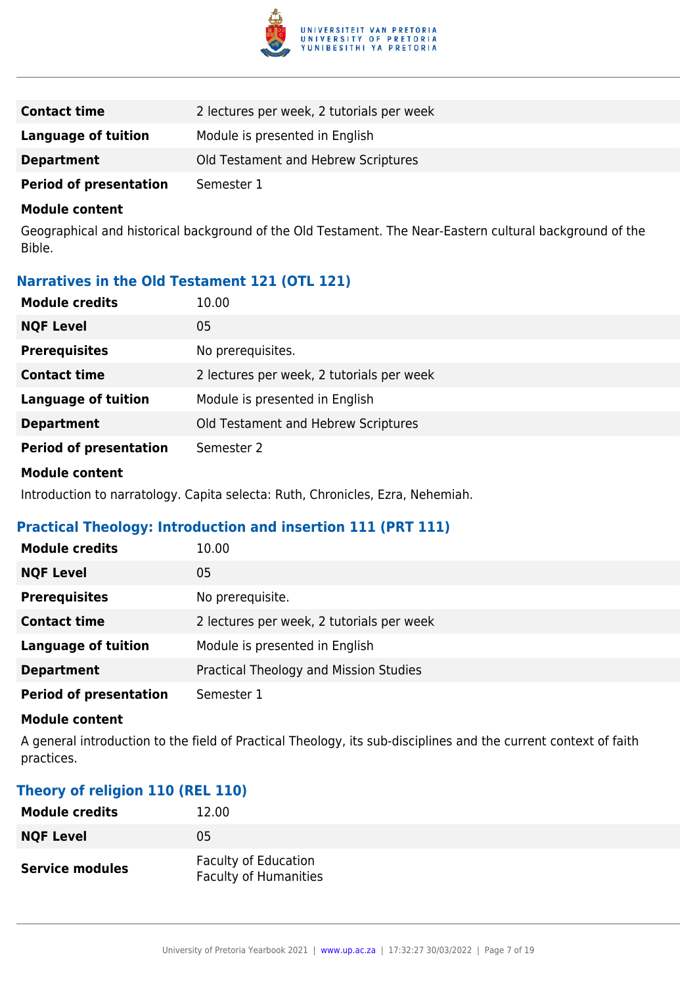

| <b>Contact time</b>           | 2 lectures per week, 2 tutorials per week |
|-------------------------------|-------------------------------------------|
| Language of tuition           | Module is presented in English            |
| <b>Department</b>             | Old Testament and Hebrew Scriptures       |
| <b>Period of presentation</b> | Semester 1                                |

Geographical and historical background of the Old Testament. The Near-Eastern cultural background of the Bible.

### **Narratives in the Old Testament 121 (OTL 121)**

| <b>Module credits</b>         | 10.00                                     |
|-------------------------------|-------------------------------------------|
| <b>NQF Level</b>              | 05                                        |
| <b>Prerequisites</b>          | No prerequisites.                         |
| <b>Contact time</b>           | 2 lectures per week, 2 tutorials per week |
| <b>Language of tuition</b>    | Module is presented in English            |
| <b>Department</b>             | Old Testament and Hebrew Scriptures       |
| <b>Period of presentation</b> | Semester 2                                |

#### **Module content**

Introduction to narratology. Capita selecta: Ruth, Chronicles, Ezra, Nehemiah.

### **Practical Theology: Introduction and insertion 111 (PRT 111)**

| <b>Module credits</b>         | 10.00                                     |
|-------------------------------|-------------------------------------------|
| <b>NQF Level</b>              | 05                                        |
| <b>Prerequisites</b>          | No prerequisite.                          |
| <b>Contact time</b>           | 2 lectures per week, 2 tutorials per week |
| <b>Language of tuition</b>    | Module is presented in English            |
| <b>Department</b>             | Practical Theology and Mission Studies    |
| <b>Period of presentation</b> | Semester 1                                |

#### **Module content**

A general introduction to the field of Practical Theology, its sub-disciplines and the current context of faith practices.

#### **Theory of religion 110 (REL 110)**

| <b>Module credits</b>  | 12.00                                                       |
|------------------------|-------------------------------------------------------------|
| <b>NQF Level</b>       | 05                                                          |
| <b>Service modules</b> | <b>Faculty of Education</b><br><b>Faculty of Humanities</b> |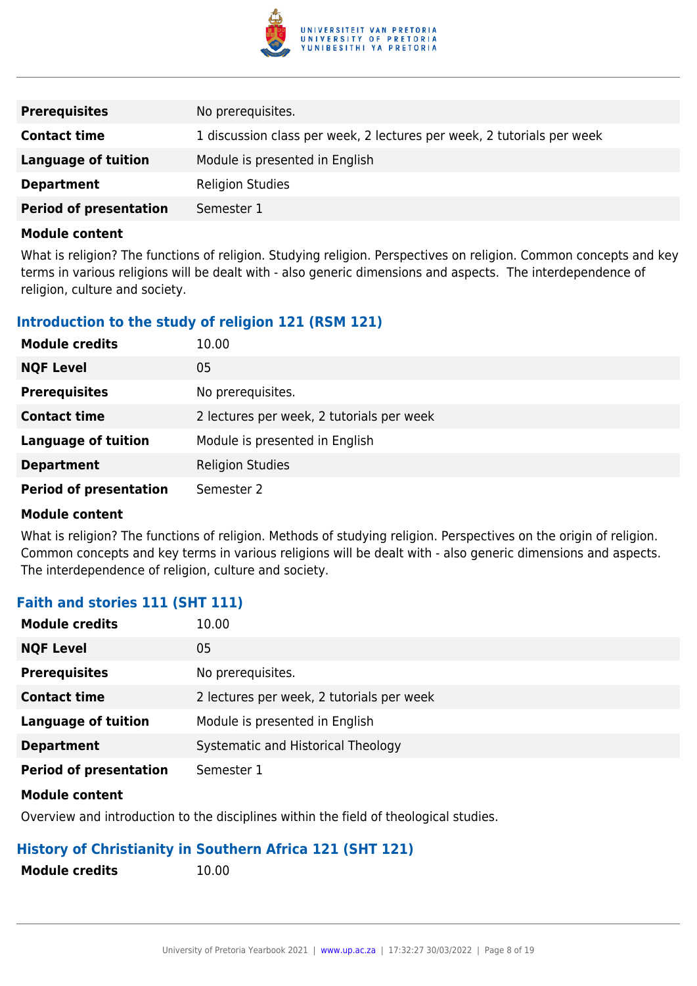

| <b>Prerequisites</b>          | No prerequisites.                                                      |
|-------------------------------|------------------------------------------------------------------------|
| <b>Contact time</b>           | 1 discussion class per week, 2 lectures per week, 2 tutorials per week |
| <b>Language of tuition</b>    | Module is presented in English                                         |
| <b>Department</b>             | <b>Religion Studies</b>                                                |
| <b>Period of presentation</b> | Semester 1                                                             |

What is religion? The functions of religion. Studying religion. Perspectives on religion. Common concepts and key terms in various religions will be dealt with - also generic dimensions and aspects. The interdependence of religion, culture and society.

### **Introduction to the study of religion 121 (RSM 121)**

| <b>Module credits</b>         | 10.00                                     |
|-------------------------------|-------------------------------------------|
| <b>NQF Level</b>              | 05                                        |
| <b>Prerequisites</b>          | No prerequisites.                         |
| <b>Contact time</b>           | 2 lectures per week, 2 tutorials per week |
| <b>Language of tuition</b>    | Module is presented in English            |
| <b>Department</b>             | <b>Religion Studies</b>                   |
| <b>Period of presentation</b> | Semester 2                                |

#### **Module content**

What is religion? The functions of religion. Methods of studying religion. Perspectives on the origin of religion. Common concepts and key terms in various religions will be dealt with - also generic dimensions and aspects. The interdependence of religion, culture and society.

### **Faith and stories 111 (SHT 111)**

| <b>Module credits</b>         | 10.00                                     |
|-------------------------------|-------------------------------------------|
| <b>NQF Level</b>              | 05                                        |
| <b>Prerequisites</b>          | No prerequisites.                         |
| <b>Contact time</b>           | 2 lectures per week, 2 tutorials per week |
| <b>Language of tuition</b>    | Module is presented in English            |
| <b>Department</b>             | Systematic and Historical Theology        |
| <b>Period of presentation</b> | Semester 1                                |

#### **Module content**

Overview and introduction to the disciplines within the field of theological studies.

### **History of Christianity in Southern Africa 121 (SHT 121)**

**Module credits** 10.00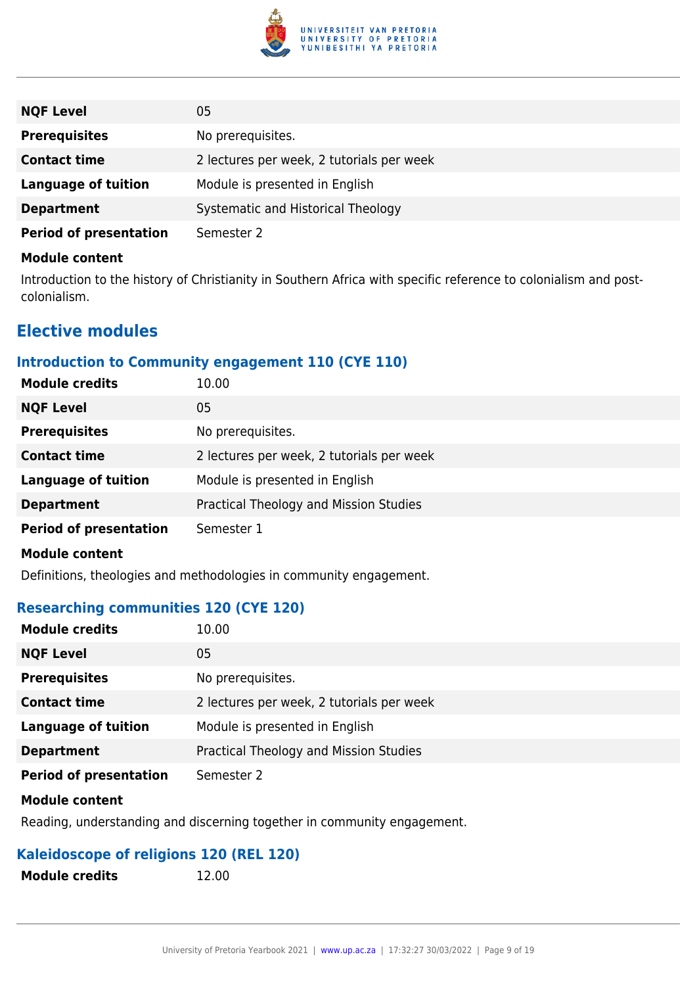

| <b>NQF Level</b>              | 05                                        |
|-------------------------------|-------------------------------------------|
| <b>Prerequisites</b>          | No prerequisites.                         |
| <b>Contact time</b>           | 2 lectures per week, 2 tutorials per week |
| Language of tuition           | Module is presented in English            |
| <b>Department</b>             | Systematic and Historical Theology        |
| <b>Period of presentation</b> | Semester 2                                |

Introduction to the history of Christianity in Southern Africa with specific reference to colonialism and postcolonialism.

# **Elective modules**

# **Introduction to Community engagement 110 (CYE 110)**

| <b>Module credits</b>         | 10.00                                     |
|-------------------------------|-------------------------------------------|
| <b>NQF Level</b>              | 05                                        |
| <b>Prerequisites</b>          | No prerequisites.                         |
| <b>Contact time</b>           | 2 lectures per week, 2 tutorials per week |
| <b>Language of tuition</b>    | Module is presented in English            |
| <b>Department</b>             | Practical Theology and Mission Studies    |
| <b>Period of presentation</b> | Semester 1                                |

#### **Module content**

Definitions, theologies and methodologies in community engagement.

### **Researching communities 120 (CYE 120)**

| <b>Module credits</b>         | 10.00                                     |
|-------------------------------|-------------------------------------------|
| <b>NQF Level</b>              | 05                                        |
| <b>Prerequisites</b>          | No prerequisites.                         |
| <b>Contact time</b>           | 2 lectures per week, 2 tutorials per week |
| <b>Language of tuition</b>    | Module is presented in English            |
| <b>Department</b>             | Practical Theology and Mission Studies    |
| <b>Period of presentation</b> | Semester 2                                |

#### **Module content**

Reading, understanding and discerning together in community engagement.

### **Kaleidoscope of religions 120 (REL 120)**

| <b>Module credits</b> |  |
|-----------------------|--|
|-----------------------|--|

**Module credits** 12.00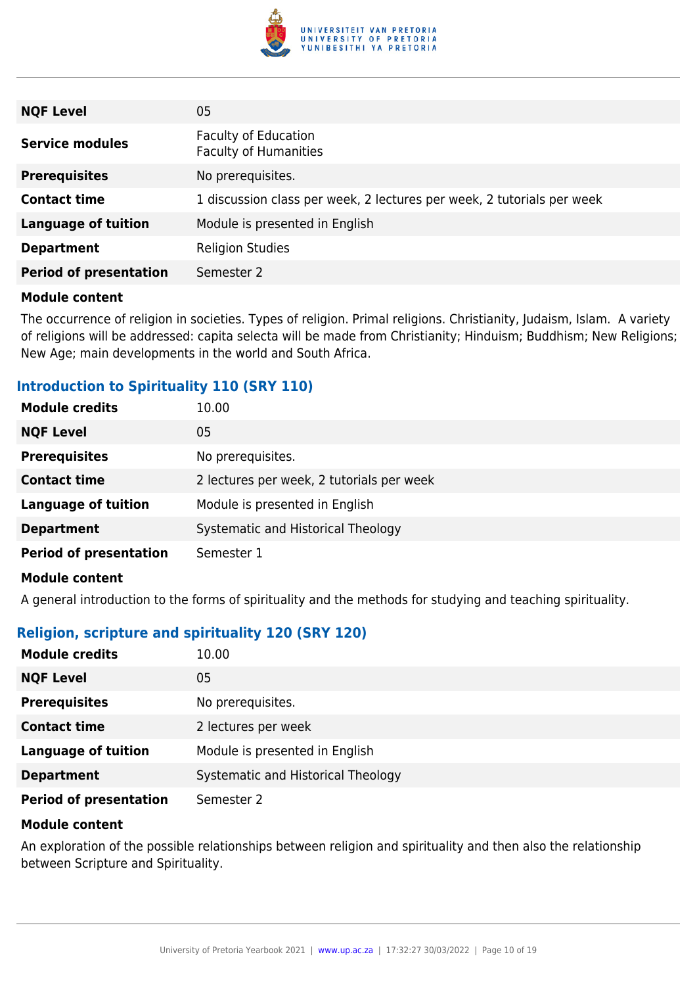

| <b>NQF Level</b>              | 05                                                                     |
|-------------------------------|------------------------------------------------------------------------|
| <b>Service modules</b>        | <b>Faculty of Education</b><br><b>Faculty of Humanities</b>            |
| <b>Prerequisites</b>          | No prerequisites.                                                      |
| <b>Contact time</b>           | 1 discussion class per week, 2 lectures per week, 2 tutorials per week |
| <b>Language of tuition</b>    | Module is presented in English                                         |
| <b>Department</b>             | <b>Religion Studies</b>                                                |
| <b>Period of presentation</b> | Semester 2                                                             |

The occurrence of religion in societies. Types of religion. Primal religions. Christianity, Judaism, Islam. A variety of religions will be addressed: capita selecta will be made from Christianity; Hinduism; Buddhism; New Religions; New Age; main developments in the world and South Africa.

#### **Introduction to Spirituality 110 (SRY 110)**

| <b>Module credits</b>         | 10.00                                     |
|-------------------------------|-------------------------------------------|
| <b>NQF Level</b>              | 05                                        |
| <b>Prerequisites</b>          | No prerequisites.                         |
| <b>Contact time</b>           | 2 lectures per week, 2 tutorials per week |
| <b>Language of tuition</b>    | Module is presented in English            |
| <b>Department</b>             | Systematic and Historical Theology        |
| <b>Period of presentation</b> | Semester 1                                |

#### **Module content**

A general introduction to the forms of spirituality and the methods for studying and teaching spirituality.

### **Religion, scripture and spirituality 120 (SRY 120)**

| <b>Module credits</b>         | 10.00                              |
|-------------------------------|------------------------------------|
| <b>NQF Level</b>              | 05                                 |
| <b>Prerequisites</b>          | No prerequisites.                  |
| <b>Contact time</b>           | 2 lectures per week                |
| <b>Language of tuition</b>    | Module is presented in English     |
| <b>Department</b>             | Systematic and Historical Theology |
| <b>Period of presentation</b> | Semester 2                         |

#### **Module content**

An exploration of the possible relationships between religion and spirituality and then also the relationship between Scripture and Spirituality.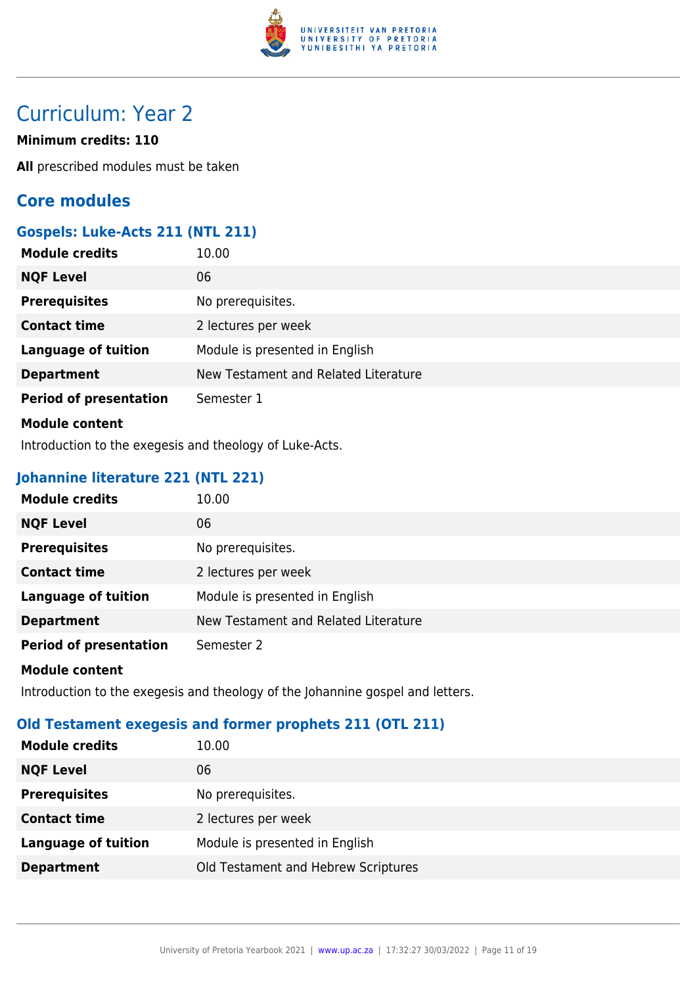

# Curriculum: Year 2

#### **Minimum credits: 110**

**All** prescribed modules must be taken

# **Core modules**

# **Gospels: Luke-Acts 211 (NTL 211)**

| <b>Module credits</b>         | 10.00                                |
|-------------------------------|--------------------------------------|
| <b>NQF Level</b>              | 06                                   |
| <b>Prerequisites</b>          | No prerequisites.                    |
| <b>Contact time</b>           | 2 lectures per week                  |
| <b>Language of tuition</b>    | Module is presented in English       |
| <b>Department</b>             | New Testament and Related Literature |
| <b>Period of presentation</b> | Semester 1                           |
| <b>Module content</b>         |                                      |

Introduction to the exegesis and theology of Luke-Acts.

# **Johannine literature 221 (NTL 221)**

| <b>Module credits</b>         | 10.00                                |
|-------------------------------|--------------------------------------|
| <b>NQF Level</b>              | 06                                   |
| <b>Prerequisites</b>          | No prerequisites.                    |
| <b>Contact time</b>           | 2 lectures per week                  |
| <b>Language of tuition</b>    | Module is presented in English       |
| <b>Department</b>             | New Testament and Related Literature |
| <b>Period of presentation</b> | Semester 2                           |
| <b>Module content</b>         |                                      |

Introduction to the exegesis and theology of the Johannine gospel and letters.

### **Old Testament exegesis and former prophets 211 (OTL 211)**

| <b>Module credits</b>      | 10.00                               |
|----------------------------|-------------------------------------|
| <b>NQF Level</b>           | 06                                  |
| <b>Prerequisites</b>       | No prerequisites.                   |
| <b>Contact time</b>        | 2 lectures per week                 |
| <b>Language of tuition</b> | Module is presented in English      |
| <b>Department</b>          | Old Testament and Hebrew Scriptures |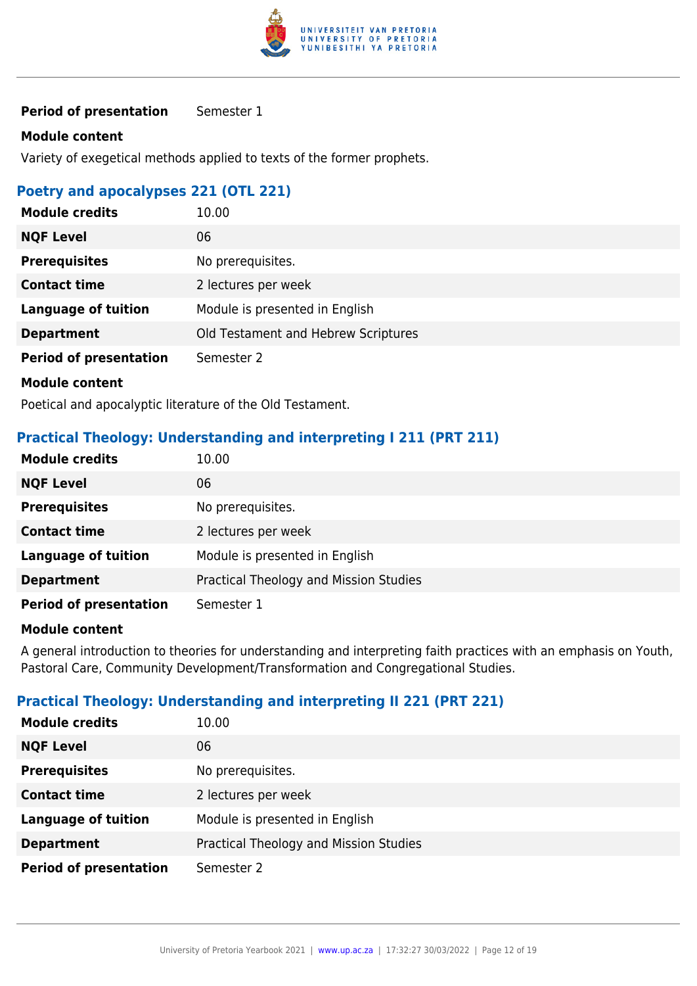

**Period of presentation** Semester 1

#### **Module content**

Variety of exegetical methods applied to texts of the former prophets.

### **Poetry and apocalypses 221 (OTL 221)**

| <b>Module credits</b>                                    | 10.00                               |
|----------------------------------------------------------|-------------------------------------|
| <b>NQF Level</b>                                         | 06                                  |
| <b>Prerequisites</b>                                     | No prerequisites.                   |
| <b>Contact time</b>                                      | 2 lectures per week                 |
| <b>Language of tuition</b>                               | Module is presented in English      |
| <b>Department</b>                                        | Old Testament and Hebrew Scriptures |
| <b>Period of presentation</b>                            | Semester 2                          |
| <b>Module content</b>                                    |                                     |
| Bootical and anocaluntic literature of the Old Tectament |                                     |

Poetical and apocalyptic literature of the Old Testament.

#### **Practical Theology: Understanding and interpreting I 211 (PRT 211)**

| <b>Module credits</b>         | 10.00                                  |
|-------------------------------|----------------------------------------|
| <b>NQF Level</b>              | 06                                     |
| <b>Prerequisites</b>          | No prerequisites.                      |
| <b>Contact time</b>           | 2 lectures per week                    |
| <b>Language of tuition</b>    | Module is presented in English         |
| <b>Department</b>             | Practical Theology and Mission Studies |
| <b>Period of presentation</b> | Semester 1                             |

#### **Module content**

A general introduction to theories for understanding and interpreting faith practices with an emphasis on Youth, Pastoral Care, Community Development/Transformation and Congregational Studies.

#### **Practical Theology: Understanding and interpreting II 221 (PRT 221)**

| <b>Module credits</b>         | 10.00                                  |
|-------------------------------|----------------------------------------|
| <b>NQF Level</b>              | 06                                     |
| <b>Prerequisites</b>          | No prerequisites.                      |
| <b>Contact time</b>           | 2 lectures per week                    |
| <b>Language of tuition</b>    | Module is presented in English         |
| <b>Department</b>             | Practical Theology and Mission Studies |
| <b>Period of presentation</b> | Semester 2                             |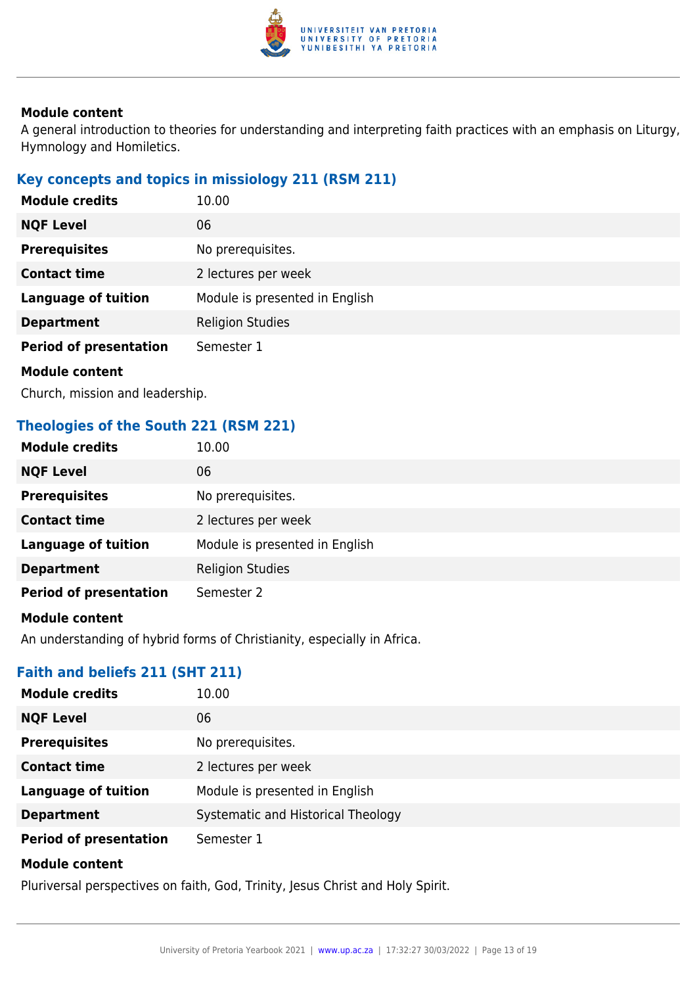

A general introduction to theories for understanding and interpreting faith practices with an emphasis on Liturgy, Hymnology and Homiletics.

# **Key concepts and topics in missiology 211 (RSM 211)**

| <b>Module credits</b>         | 10.00                          |
|-------------------------------|--------------------------------|
| <b>NQF Level</b>              | 06                             |
| <b>Prerequisites</b>          | No prerequisites.              |
| <b>Contact time</b>           | 2 lectures per week            |
| <b>Language of tuition</b>    | Module is presented in English |
| <b>Department</b>             | <b>Religion Studies</b>        |
| <b>Period of presentation</b> | Semester 1                     |
| <b>Module content</b>         |                                |
|                               |                                |

Church, mission and leadership.

# **Theologies of the South 221 (RSM 221)**

| <b>Module credits</b>         | 10.00                          |
|-------------------------------|--------------------------------|
| <b>NQF Level</b>              | 06                             |
| <b>Prerequisites</b>          | No prerequisites.              |
| <b>Contact time</b>           | 2 lectures per week            |
| <b>Language of tuition</b>    | Module is presented in English |
| <b>Department</b>             | <b>Religion Studies</b>        |
| <b>Period of presentation</b> | Semester 2                     |
| <b>Module content</b>         |                                |

An understanding of hybrid forms of Christianity, especially in Africa.

### **Faith and beliefs 211 (SHT 211)**

| <b>Module credits</b>         | 10.00                              |
|-------------------------------|------------------------------------|
| <b>NQF Level</b>              | 06                                 |
| <b>Prerequisites</b>          | No prerequisites.                  |
| <b>Contact time</b>           | 2 lectures per week                |
| <b>Language of tuition</b>    | Module is presented in English     |
| <b>Department</b>             | Systematic and Historical Theology |
| <b>Period of presentation</b> | Semester 1                         |
| <b>Module content</b>         |                                    |

Pluriversal perspectives on faith, God, Trinity, Jesus Christ and Holy Spirit.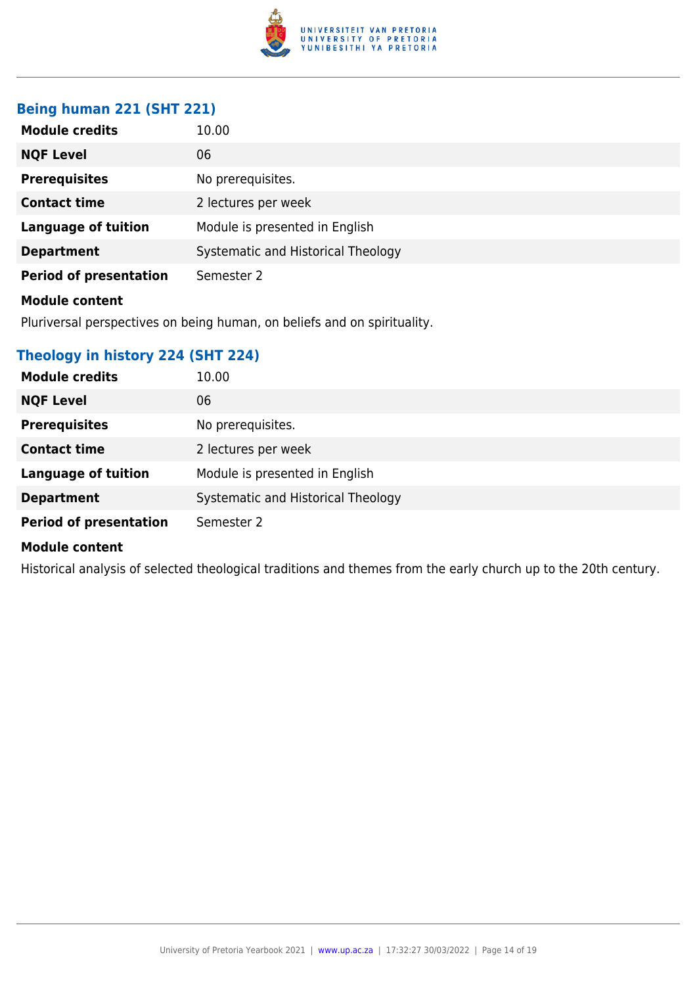

### **Being human 221 (SHT 221)**

| <b>Module credits</b>         | 10.00                              |
|-------------------------------|------------------------------------|
| <b>NQF Level</b>              | 06                                 |
| <b>Prerequisites</b>          | No prerequisites.                  |
| <b>Contact time</b>           | 2 lectures per week                |
| <b>Language of tuition</b>    | Module is presented in English     |
| <b>Department</b>             | Systematic and Historical Theology |
| <b>Period of presentation</b> | Semester 2                         |
| <b>Module content</b>         |                                    |

Pluriversal perspectives on being human, on beliefs and on spirituality.

# **Theology in history 224 (SHT 224)**

| <b>Module credits</b>         | 10.00                              |
|-------------------------------|------------------------------------|
| <b>NQF Level</b>              | 06                                 |
| <b>Prerequisites</b>          | No prerequisites.                  |
| <b>Contact time</b>           | 2 lectures per week                |
| <b>Language of tuition</b>    | Module is presented in English     |
| <b>Department</b>             | Systematic and Historical Theology |
| <b>Period of presentation</b> | Semester 2                         |

#### **Module content**

Historical analysis of selected theological traditions and themes from the early church up to the 20th century.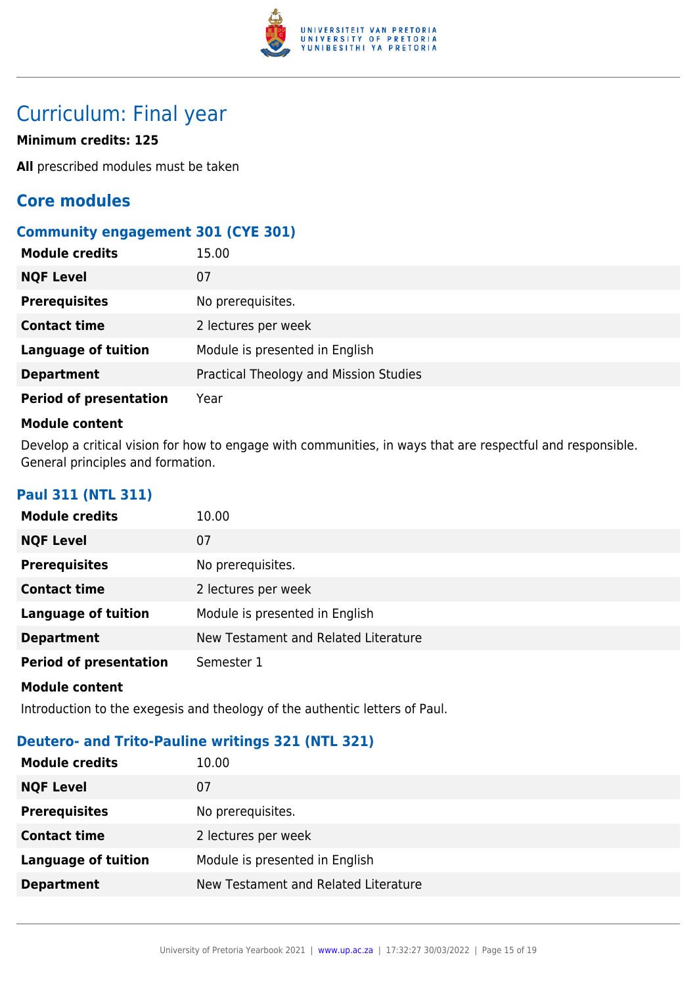

# Curriculum: Final year

### **Minimum credits: 125**

**All** prescribed modules must be taken

# **Core modules**

### **Community engagement 301 (CYE 301)**

| <b>Module credits</b>         | 15.00                                  |
|-------------------------------|----------------------------------------|
| <b>NQF Level</b>              | 07                                     |
| <b>Prerequisites</b>          | No prerequisites.                      |
| <b>Contact time</b>           | 2 lectures per week                    |
| <b>Language of tuition</b>    | Module is presented in English         |
| <b>Department</b>             | Practical Theology and Mission Studies |
| <b>Period of presentation</b> | Year                                   |

#### **Module content**

Develop a critical vision for how to engage with communities, in ways that are respectful and responsible. General principles and formation.

### **Paul 311 (NTL 311)**

| <b>Module credits</b>         | 10.00                                |
|-------------------------------|--------------------------------------|
| <b>NQF Level</b>              | 07                                   |
| <b>Prerequisites</b>          | No prerequisites.                    |
| <b>Contact time</b>           | 2 lectures per week                  |
| <b>Language of tuition</b>    | Module is presented in English       |
| <b>Department</b>             | New Testament and Related Literature |
| <b>Period of presentation</b> | Semester 1                           |
| <b>Module content</b>         |                                      |

Introduction to the exegesis and theology of the authentic letters of Paul.

### **Deutero- and Trito-Pauline writings 321 (NTL 321)**

| <b>Module credits</b>      | 10.00                                |
|----------------------------|--------------------------------------|
| <b>NQF Level</b>           | 07                                   |
| <b>Prerequisites</b>       | No prerequisites.                    |
| <b>Contact time</b>        | 2 lectures per week                  |
| <b>Language of tuition</b> | Module is presented in English       |
| <b>Department</b>          | New Testament and Related Literature |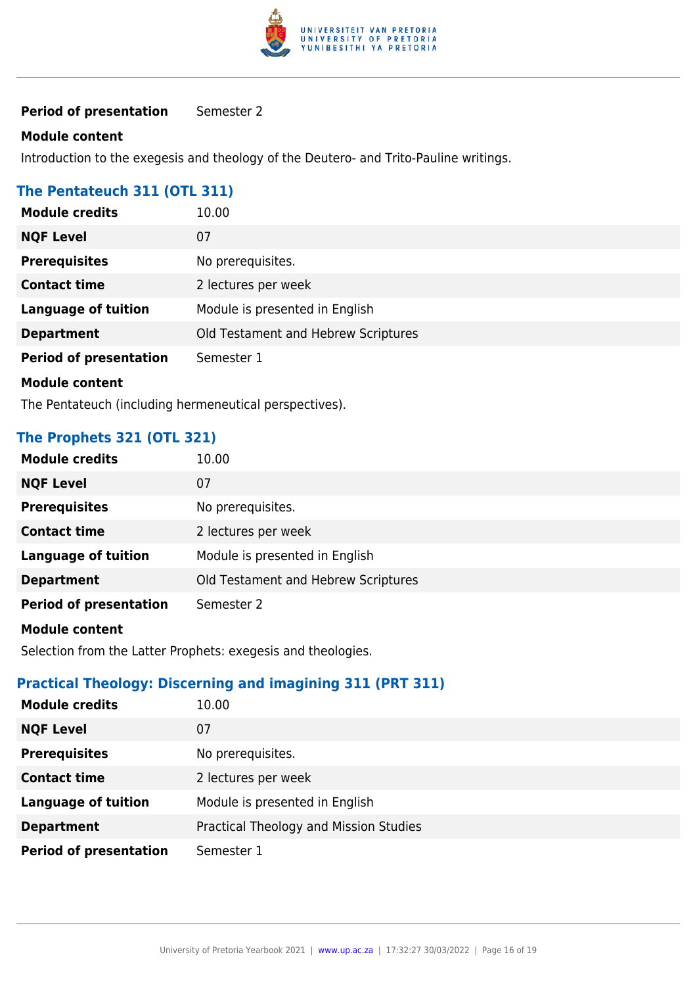

**Period of presentation** Semester 2

#### **Module content**

Introduction to the exegesis and theology of the Deutero- and Trito-Pauline writings.

#### **The Pentateuch 311 (OTL 311)**

| <b>Module credits</b>         | 10.00                               |
|-------------------------------|-------------------------------------|
| <b>NQF Level</b>              | 07                                  |
| <b>Prerequisites</b>          | No prerequisites.                   |
| <b>Contact time</b>           | 2 lectures per week                 |
| <b>Language of tuition</b>    | Module is presented in English      |
| <b>Department</b>             | Old Testament and Hebrew Scriptures |
| <b>Period of presentation</b> | Semester 1                          |
| <b>Module content</b>         |                                     |

The Pentateuch (including hermeneutical perspectives).

# **The Prophets 321 (OTL 321)**

| <b>Module credits</b>         | 10.00                               |
|-------------------------------|-------------------------------------|
| <b>NQF Level</b>              | 07                                  |
| <b>Prerequisites</b>          | No prerequisites.                   |
| <b>Contact time</b>           | 2 lectures per week                 |
| <b>Language of tuition</b>    | Module is presented in English      |
| <b>Department</b>             | Old Testament and Hebrew Scriptures |
| <b>Period of presentation</b> | Semester 2                          |

#### **Module content**

Selection from the Latter Prophets: exegesis and theologies.

#### **Practical Theology: Discerning and imagining 311 (PRT 311)**

| <b>Module credits</b>         | 10.00                                  |
|-------------------------------|----------------------------------------|
| <b>NQF Level</b>              | 07                                     |
| <b>Prerequisites</b>          | No prerequisites.                      |
| <b>Contact time</b>           | 2 lectures per week                    |
| <b>Language of tuition</b>    | Module is presented in English         |
| <b>Department</b>             | Practical Theology and Mission Studies |
| <b>Period of presentation</b> | Semester 1                             |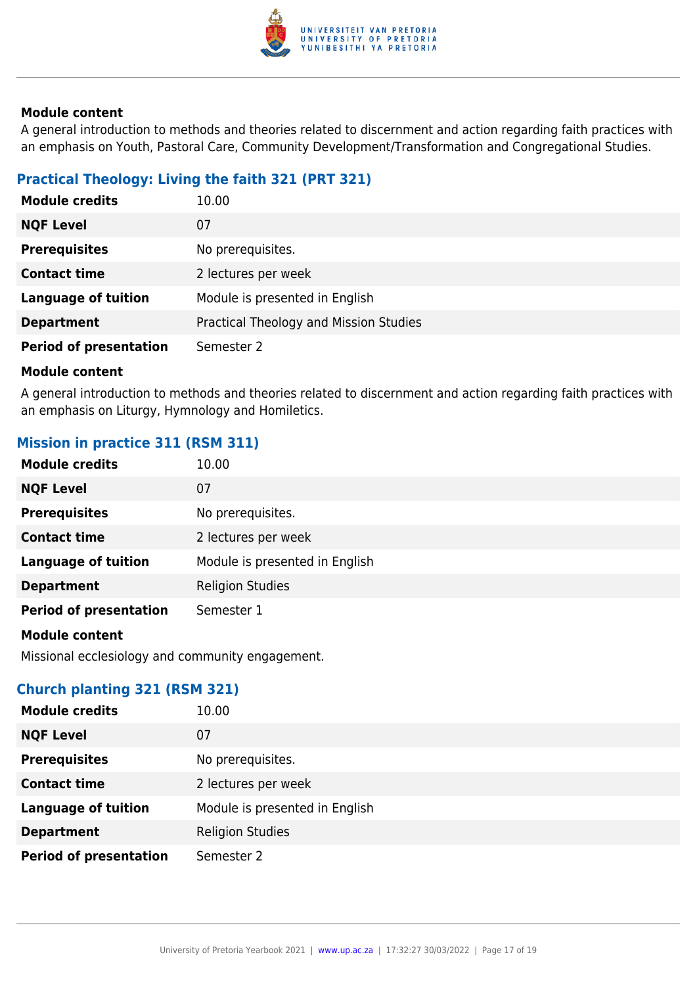

A general introduction to methods and theories related to discernment and action regarding faith practices with an emphasis on Youth, Pastoral Care, Community Development/Transformation and Congregational Studies.

# **Practical Theology: Living the faith 321 (PRT 321)**

| <b>Module credits</b>         | 10.00                                  |
|-------------------------------|----------------------------------------|
| <b>NQF Level</b>              | 07                                     |
| <b>Prerequisites</b>          | No prerequisites.                      |
| <b>Contact time</b>           | 2 lectures per week                    |
| <b>Language of tuition</b>    | Module is presented in English         |
| <b>Department</b>             | Practical Theology and Mission Studies |
| <b>Period of presentation</b> | Semester 2                             |

#### **Module content**

A general introduction to methods and theories related to discernment and action regarding faith practices with an emphasis on Liturgy, Hymnology and Homiletics.

# **Mission in practice 311 (RSM 311)**

| <b>Module credits</b>         | 10.00                          |
|-------------------------------|--------------------------------|
| <b>NQF Level</b>              | 07                             |
| <b>Prerequisites</b>          | No prerequisites.              |
| <b>Contact time</b>           | 2 lectures per week            |
| <b>Language of tuition</b>    | Module is presented in English |
| <b>Department</b>             | <b>Religion Studies</b>        |
| <b>Period of presentation</b> | Semester 1                     |
|                               |                                |

#### **Module content**

Missional ecclesiology and community engagement.

### **Church planting 321 (RSM 321)**

| <b>Module credits</b>         | 10.00                          |
|-------------------------------|--------------------------------|
| <b>NQF Level</b>              | 07                             |
| <b>Prerequisites</b>          | No prerequisites.              |
| <b>Contact time</b>           | 2 lectures per week            |
| <b>Language of tuition</b>    | Module is presented in English |
| <b>Department</b>             | <b>Religion Studies</b>        |
| <b>Period of presentation</b> | Semester 2                     |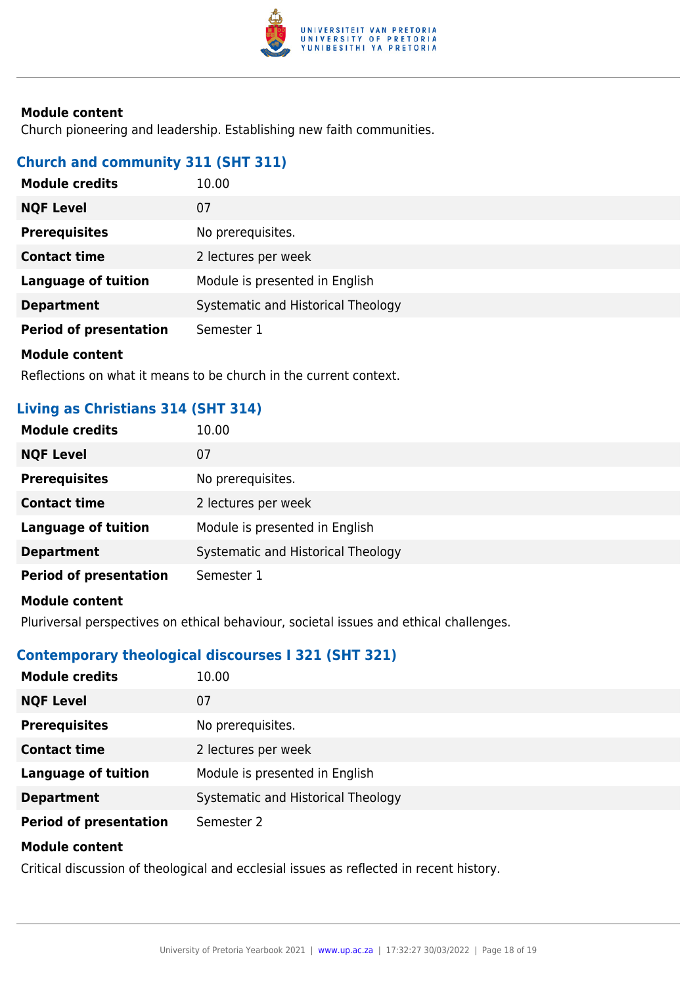

Church pioneering and leadership. Establishing new faith communities.

#### **Church and community 311 (SHT 311)**

| <b>Module credits</b>         | 10.00                              |
|-------------------------------|------------------------------------|
| <b>NQF Level</b>              | 07                                 |
| <b>Prerequisites</b>          | No prerequisites.                  |
| <b>Contact time</b>           | 2 lectures per week                |
| <b>Language of tuition</b>    | Module is presented in English     |
| <b>Department</b>             | Systematic and Historical Theology |
| <b>Period of presentation</b> | Semester 1                         |
| Module content                |                                    |

Reflections on what it means to be church in the current context.

# **Living as Christians 314 (SHT 314)**

| <b>Module credits</b>         | 10.00                              |
|-------------------------------|------------------------------------|
| <b>NQF Level</b>              | 07                                 |
| <b>Prerequisites</b>          | No prerequisites.                  |
| <b>Contact time</b>           | 2 lectures per week                |
| <b>Language of tuition</b>    | Module is presented in English     |
| <b>Department</b>             | Systematic and Historical Theology |
| <b>Period of presentation</b> | Semester 1                         |
| <b>Module content</b>         |                                    |

Pluriversal perspectives on ethical behaviour, societal issues and ethical challenges.

#### **Contemporary theological discourses I 321 (SHT 321)**

| <b>Module credits</b>         | 10.00                              |
|-------------------------------|------------------------------------|
| <b>NQF Level</b>              | 07                                 |
| <b>Prerequisites</b>          | No prerequisites.                  |
| <b>Contact time</b>           | 2 lectures per week                |
| <b>Language of tuition</b>    | Module is presented in English     |
| <b>Department</b>             | Systematic and Historical Theology |
| <b>Period of presentation</b> | Semester 2                         |
| <b>Module content</b>         |                                    |

Critical discussion of theological and ecclesial issues as reflected in recent history.